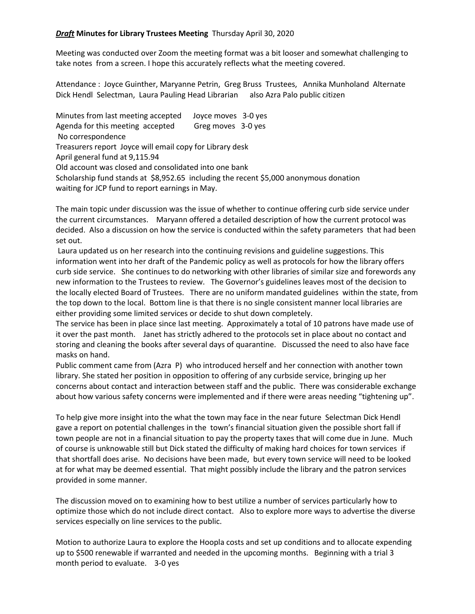## *Draft* **Minutes for Library Trustees Meeting** Thursday April 30, 2020

Meeting was conducted over Zoom the meeting format was a bit looser and somewhat challenging to take notes from a screen. I hope this accurately reflects what the meeting covered.

Attendance : Joyce Guinther, Maryanne Petrin, Greg Bruss Trustees, Annika Munholand Alternate Dick Hendl Selectman, Laura Pauling Head Librarian also Azra Palo public citizen

Minutes from last meeting accepted Joyce moves 3-0 yes Agenda for this meeting accepted Greg moves 3-0 yes No correspondence Treasurers report Joyce will email copy for Library desk April general fund at 9,115.94 Old account was closed and consolidated into one bank Scholarship fund stands at \$8,952.65 including the recent \$5,000 anonymous donation waiting for JCP fund to report earnings in May.

The main topic under discussion was the issue of whether to continue offering curb side service under the current circumstances. Maryann offered a detailed description of how the current protocol was decided. Also a discussion on how the service is conducted within the safety parameters that had been set out.

Laura updated us on her research into the continuing revisions and guideline suggestions. This information went into her draft of the Pandemic policy as well as protocols for how the library offers curb side service. She continues to do networking with other libraries of similar size and forewords any new information to the Trustees to review. The Governor's guidelines leaves most of the decision to the locally elected Board of Trustees. There are no uniform mandated guidelines within the state, from the top down to the local. Bottom line is that there is no single consistent manner local libraries are either providing some limited services or decide to shut down completely.

The service has been in place since last meeting. Approximately a total of 10 patrons have made use of it over the past month. Janet has strictly adhered to the protocols set in place about no contact and storing and cleaning the books after several days of quarantine. Discussed the need to also have face masks on hand.

Public comment came from (Azra P) who introduced herself and her connection with another town library. She stated her position in opposition to offering of any curbside service, bringing up her concerns about contact and interaction between staff and the public. There was considerable exchange about how various safety concerns were implemented and if there were areas needing "tightening up".

To help give more insight into the what the town may face in the near future Selectman Dick Hendl gave a report on potential challenges in the town's financial situation given the possible short fall if town people are not in a financial situation to pay the property taxes that will come due in June. Much of course is unknowable still but Dick stated the difficulty of making hard choices for town services if that shortfall does arise. No decisions have been made, but every town service will need to be looked at for what may be deemed essential. That might possibly include the library and the patron services provided in some manner.

The discussion moved on to examining how to best utilize a number of services particularly how to optimize those which do not include direct contact. Also to explore more ways to advertise the diverse services especially on line services to the public.

Motion to authorize Laura to explore the Hoopla costs and set up conditions and to allocate expending up to \$500 renewable if warranted and needed in the upcoming months. Beginning with a trial 3 month period to evaluate. 3-0 yes